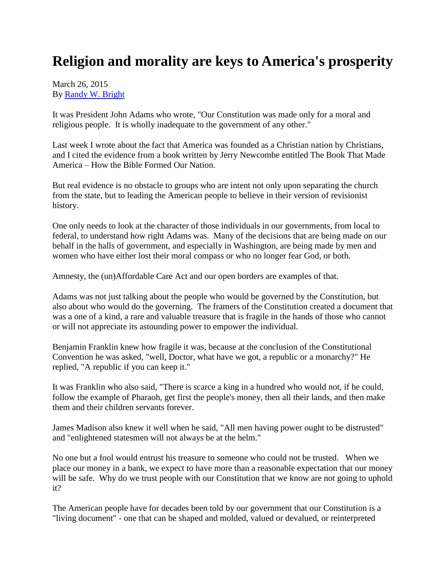## **Religion and morality are keys to America's prosperity**

## March 26, 2015 By [Randy W. Bright](http://www.tulsabeacon.com/author/slug-o6yd1v)

It was President John Adams who wrote, "Our Constitution was made only for a moral and religious people. It is wholly inadequate to the government of any other."

Last week I wrote about the fact that America was founded as a Christian nation by Christians, and I cited the evidence from a book written by Jerry Newcombe entitled The Book That Made America – How the Bible Formed Our Nation.

But real evidence is no obstacle to groups who are intent not only upon separating the church from the state, but to leading the American people to believe in their version of revisionist history.

One only needs to look at the character of those individuals in our governments, from local to federal, to understand how right Adams was. Many of the decisions that are being made on our behalf in the halls of government, and especially in Washington, are being made by men and women who have either lost their moral compass or who no longer fear God, or both.

Amnesty, the (un)Affordable Care Act and our open borders are examples of that.

Adams was not just talking about the people who would be governed by the Constitution, but also about who would do the governing. The framers of the Constitution created a document that was a one of a kind, a rare and valuable treasure that is fragile in the hands of those who cannot or will not appreciate its astounding power to empower the individual.

Benjamin Franklin knew how fragile it was, because at the conclusion of the Constitutional Convention he was asked, "well, Doctor, what have we got, a republic or a monarchy?" He replied, "A republic if you can keep it."

It was Franklin who also said, "There is scarce a king in a hundred who would not, if he could, follow the example of Pharaoh, get first the people's money, then all their lands, and then make them and their children servants forever.

James Madison also knew it well when he said, "All men having power ought to be distrusted" and "enlightened statesmen will not always be at the helm."

No one but a fool would entrust his treasure to someone who could not be trusted. When we place our money in a bank, we expect to have more than a reasonable expectation that our money will be safe. Why do we trust people with our Constitution that we know are not going to uphold it?

The American people have for decades been told by our government that our Constitution is a "living document" - one that can be shaped and molded, valued or devalued, or reinterpreted